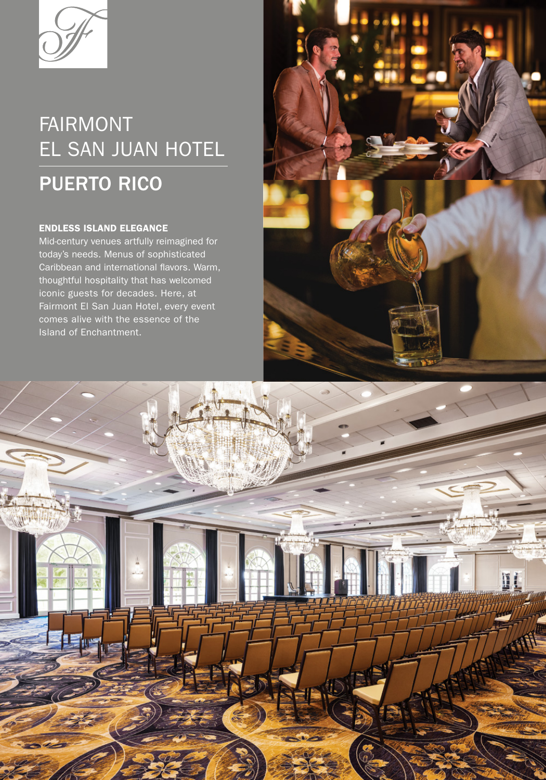

# FAIRMONT EL SAN JUAN HOTEL

## PUERTO RICO

### ENDLESS ISLAND ELEGANCE

Mid-century venues artfully reimagined for today's needs. Menus of sophisticated Caribbean and international flavors. Warm, thoughtful hospitality that has welcomed iconic guests for decades. Here, at Fairmont El San Juan Hotel, every event comes alive with the essence of the Island of Enchantment.